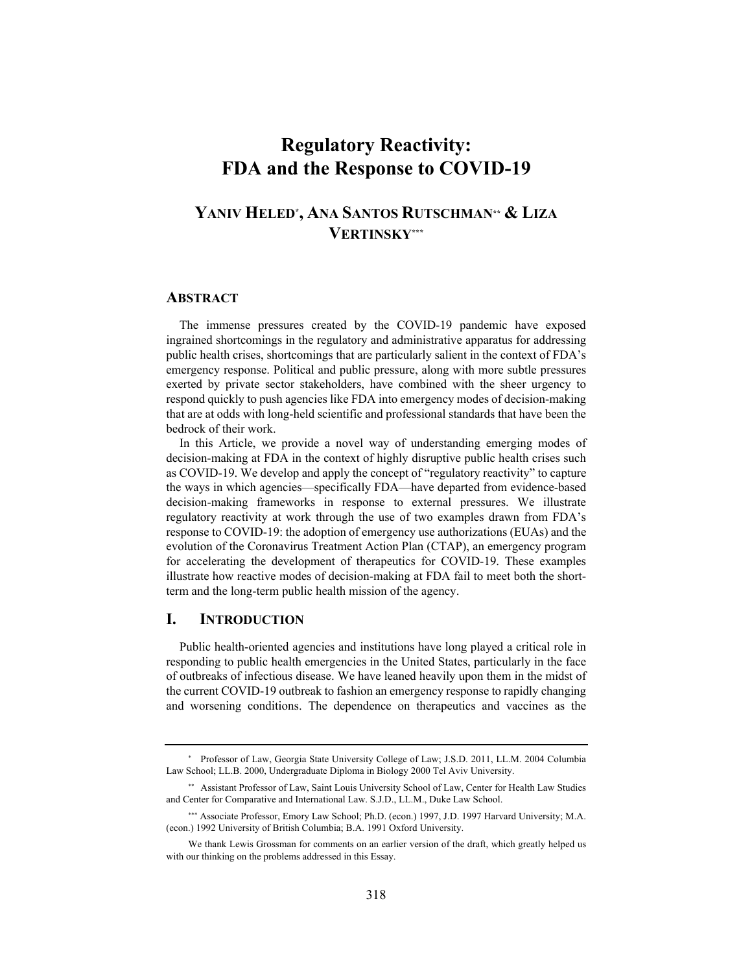# **Regulatory Reactivity: FDA and the Response to COVID-19**

# **YANIV HELED\* , ANA SANTOS RUTSCHMAN\*\* & LIZA VERTINSKY\*\*\***

#### **ABSTRACT**

The immense pressures created by the COVID-19 pandemic have exposed ingrained shortcomings in the regulatory and administrative apparatus for addressing public health crises, shortcomings that are particularly salient in the context of FDA's emergency response. Political and public pressure, along with more subtle pressures exerted by private sector stakeholders, have combined with the sheer urgency to respond quickly to push agencies like FDA into emergency modes of decision-making that are at odds with long-held scientific and professional standards that have been the bedrock of their work.

In this Article, we provide a novel way of understanding emerging modes of decision-making at FDA in the context of highly disruptive public health crises such as COVID-19. We develop and apply the concept of "regulatory reactivity" to capture the ways in which agencies—specifically FDA—have departed from evidence-based decision-making frameworks in response to external pressures. We illustrate regulatory reactivity at work through the use of two examples drawn from FDA's response to COVID-19: the adoption of emergency use authorizations (EUAs) and the evolution of the Coronavirus Treatment Action Plan (CTAP), an emergency program for accelerating the development of therapeutics for COVID-19. These examples illustrate how reactive modes of decision-making at FDA fail to meet both the shortterm and the long-term public health mission of the agency.

## **I. INTRODUCTION**

Public health-oriented agencies and institutions have long played a critical role in responding to public health emergencies in the United States, particularly in the face of outbreaks of infectious disease. We have leaned heavily upon them in the midst of the current COVID-19 outbreak to fashion an emergency response to rapidly changing and worsening conditions. The dependence on therapeutics and vaccines as the

<sup>\*</sup> Professor of Law, Georgia State University College of Law; J.S.D. 2011, LL.M. 2004 Columbia Law School; LL.B. 2000, Undergraduate Diploma in Biology 2000 Tel Aviv University.

<sup>\*\*</sup> Assistant Professor of Law, Saint Louis University School of Law, Center for Health Law Studies and Center for Comparative and International Law. S.J.D., LL.M., Duke Law School.

<sup>\*\*\*</sup> Associate Professor, Emory Law School; Ph.D. (econ.) 1997, J.D. 1997 Harvard University; M.A. (econ.) 1992 University of British Columbia; B.A. 1991 Oxford University.

We thank Lewis Grossman for comments on an earlier version of the draft, which greatly helped us with our thinking on the problems addressed in this Essay.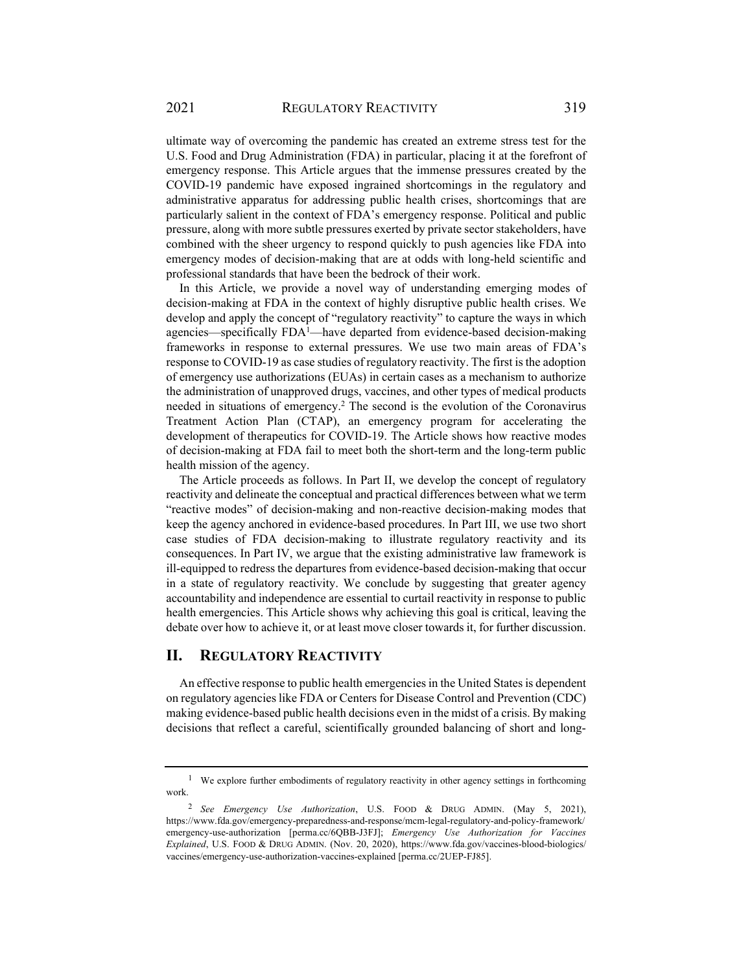ultimate way of overcoming the pandemic has created an extreme stress test for the U.S. Food and Drug Administration (FDA) in particular, placing it at the forefront of emergency response. This Article argues that the immense pressures created by the COVID-19 pandemic have exposed ingrained shortcomings in the regulatory and administrative apparatus for addressing public health crises, shortcomings that are particularly salient in the context of FDA's emergency response. Political and public pressure, along with more subtle pressures exerted by private sector stakeholders, have combined with the sheer urgency to respond quickly to push agencies like FDA into emergency modes of decision-making that are at odds with long-held scientific and professional standards that have been the bedrock of their work.

In this Article, we provide a novel way of understanding emerging modes of decision-making at FDA in the context of highly disruptive public health crises. We develop and apply the concept of "regulatory reactivity" to capture the ways in which agencies—specifically  $FDA<sup>1</sup>$ —have departed from evidence-based decision-making frameworks in response to external pressures. We use two main areas of FDA's response to COVID-19 as case studies of regulatory reactivity. The first is the adoption of emergency use authorizations (EUAs) in certain cases as a mechanism to authorize the administration of unapproved drugs, vaccines, and other types of medical products needed in situations of emergency.2 The second is the evolution of the Coronavirus Treatment Action Plan (CTAP), an emergency program for accelerating the development of therapeutics for COVID-19. The Article shows how reactive modes of decision-making at FDA fail to meet both the short-term and the long-term public health mission of the agency.

The Article proceeds as follows. In Part II, we develop the concept of regulatory reactivity and delineate the conceptual and practical differences between what we term "reactive modes" of decision-making and non-reactive decision-making modes that keep the agency anchored in evidence-based procedures. In Part III, we use two short case studies of FDA decision-making to illustrate regulatory reactivity and its consequences. In Part IV, we argue that the existing administrative law framework is ill-equipped to redress the departures from evidence-based decision-making that occur in a state of regulatory reactivity. We conclude by suggesting that greater agency accountability and independence are essential to curtail reactivity in response to public health emergencies. This Article shows why achieving this goal is critical, leaving the debate over how to achieve it, or at least move closer towards it, for further discussion.

# **II. REGULATORY REACTIVITY**

An effective response to public health emergencies in the United States is dependent on regulatory agencies like FDA or Centers for Disease Control and Prevention (CDC) making evidence-based public health decisions even in the midst of a crisis. By making decisions that reflect a careful, scientifically grounded balancing of short and long-

<sup>1</sup> We explore further embodiments of regulatory reactivity in other agency settings in forthcoming work.

<sup>2</sup> *See Emergency Use Authorization*, U.S. FOOD & DRUG ADMIN. (May 5, 2021), https://www.fda.gov/emergency-preparedness-and-response/mcm-legal-regulatory-and-policy-framework/ emergency-use-authorization [perma.cc/6QBB-J3FJ]; *Emergency Use Authorization for Vaccines Explained*, U.S. FOOD & DRUG ADMIN. (Nov. 20, 2020), https://www.fda.gov/vaccines-blood-biologics/ vaccines/emergency-use-authorization-vaccines-explained [perma.cc/2UEP-FJ85].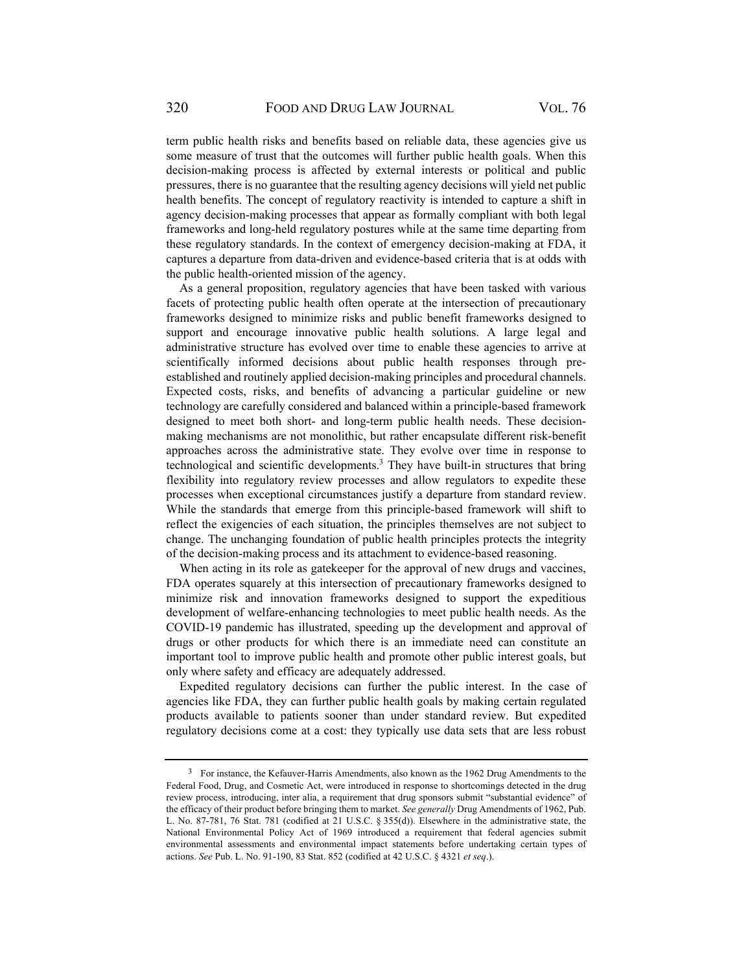term public health risks and benefits based on reliable data, these agencies give us some measure of trust that the outcomes will further public health goals. When this decision-making process is affected by external interests or political and public pressures, there is no guarantee that the resulting agency decisions will yield net public health benefits. The concept of regulatory reactivity is intended to capture a shift in agency decision-making processes that appear as formally compliant with both legal frameworks and long-held regulatory postures while at the same time departing from these regulatory standards. In the context of emergency decision-making at FDA, it captures a departure from data-driven and evidence-based criteria that is at odds with the public health-oriented mission of the agency.

As a general proposition, regulatory agencies that have been tasked with various facets of protecting public health often operate at the intersection of precautionary frameworks designed to minimize risks and public benefit frameworks designed to support and encourage innovative public health solutions. A large legal and administrative structure has evolved over time to enable these agencies to arrive at scientifically informed decisions about public health responses through preestablished and routinely applied decision-making principles and procedural channels. Expected costs, risks, and benefits of advancing a particular guideline or new technology are carefully considered and balanced within a principle-based framework designed to meet both short- and long-term public health needs. These decisionmaking mechanisms are not monolithic, but rather encapsulate different risk-benefit approaches across the administrative state. They evolve over time in response to technological and scientific developments.<sup>3</sup> They have built-in structures that bring flexibility into regulatory review processes and allow regulators to expedite these processes when exceptional circumstances justify a departure from standard review. While the standards that emerge from this principle-based framework will shift to reflect the exigencies of each situation, the principles themselves are not subject to change. The unchanging foundation of public health principles protects the integrity of the decision-making process and its attachment to evidence-based reasoning.

When acting in its role as gatekeeper for the approval of new drugs and vaccines, FDA operates squarely at this intersection of precautionary frameworks designed to minimize risk and innovation frameworks designed to support the expeditious development of welfare-enhancing technologies to meet public health needs. As the COVID-19 pandemic has illustrated, speeding up the development and approval of drugs or other products for which there is an immediate need can constitute an important tool to improve public health and promote other public interest goals, but only where safety and efficacy are adequately addressed.

Expedited regulatory decisions can further the public interest. In the case of agencies like FDA, they can further public health goals by making certain regulated products available to patients sooner than under standard review. But expedited regulatory decisions come at a cost: they typically use data sets that are less robust

<sup>&</sup>lt;sup>3</sup> For instance, the Kefauver-Harris Amendments, also known as the 1962 Drug Amendments to the Federal Food, Drug, and Cosmetic Act, were introduced in response to shortcomings detected in the drug review process, introducing, inter alia, a requirement that drug sponsors submit "substantial evidence" of the efficacy of their product before bringing them to market. *See generally* Drug Amendments of 1962, Pub. L. No. 87-781, 76 Stat. 781 (codified at 21 U.S.C. § 355(d)). Elsewhere in the administrative state, the National Environmental Policy Act of 1969 introduced a requirement that federal agencies submit environmental assessments and environmental impact statements before undertaking certain types of actions. *See* Pub. L. No. 91-190, 83 Stat. 852 (codified at 42 U.S.C. § 4321 *et seq*.).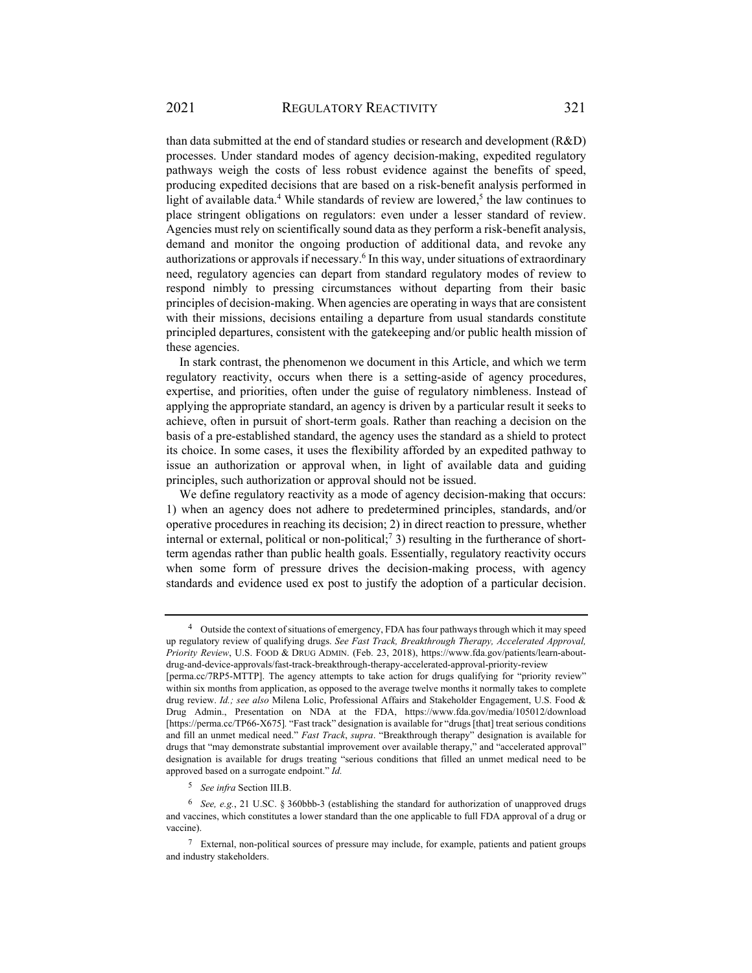than data submitted at the end of standard studies or research and development (R&D) processes. Under standard modes of agency decision-making, expedited regulatory pathways weigh the costs of less robust evidence against the benefits of speed, producing expedited decisions that are based on a risk-benefit analysis performed in light of available data.<sup>4</sup> While standards of review are lowered,<sup>5</sup> the law continues to place stringent obligations on regulators: even under a lesser standard of review. Agencies must rely on scientifically sound data as they perform a risk-benefit analysis, demand and monitor the ongoing production of additional data, and revoke any authorizations or approvals if necessary.<sup>6</sup> In this way, under situations of extraordinary need, regulatory agencies can depart from standard regulatory modes of review to respond nimbly to pressing circumstances without departing from their basic principles of decision-making. When agencies are operating in ways that are consistent with their missions, decisions entailing a departure from usual standards constitute principled departures, consistent with the gatekeeping and/or public health mission of these agencies.

In stark contrast, the phenomenon we document in this Article, and which we term regulatory reactivity, occurs when there is a setting-aside of agency procedures, expertise, and priorities, often under the guise of regulatory nimbleness. Instead of applying the appropriate standard, an agency is driven by a particular result it seeks to achieve, often in pursuit of short-term goals. Rather than reaching a decision on the basis of a pre-established standard, the agency uses the standard as a shield to protect its choice. In some cases, it uses the flexibility afforded by an expedited pathway to issue an authorization or approval when, in light of available data and guiding principles, such authorization or approval should not be issued.

We define regulatory reactivity as a mode of agency decision-making that occurs: 1) when an agency does not adhere to predetermined principles, standards, and/or operative procedures in reaching its decision; 2) in direct reaction to pressure, whether internal or external, political or non-political;<sup>7</sup> 3) resulting in the furtherance of shortterm agendas rather than public health goals. Essentially, regulatory reactivity occurs when some form of pressure drives the decision-making process, with agency standards and evidence used ex post to justify the adoption of a particular decision.

<sup>5</sup> *See infra* Section III.B.

<sup>&</sup>lt;sup>4</sup> Outside the context of situations of emergency, FDA has four pathways through which it may speed up regulatory review of qualifying drugs. *See Fast Track, Breakthrough Therapy, Accelerated Approval, Priority Review*, U.S. FOOD & DRUG ADMIN. (Feb. 23, 2018), https://www.fda.gov/patients/learn-aboutdrug-and-device-approvals/fast-track-breakthrough-therapy-accelerated-approval-priority-review

<sup>[</sup>perma.cc/7RP5-MTTP]. The agency attempts to take action for drugs qualifying for "priority review" within six months from application, as opposed to the average twelve months it normally takes to complete drug review. *Id.; see also* Milena Lolic, Professional Affairs and Stakeholder Engagement, U.S. Food & Drug Admin., Presentation on NDA at the FDA, https://www.fda.gov/media/105012/download [https://perma.cc/TP66-X675]*.* "Fast track" designation is available for "drugs [that] treat serious conditions and fill an unmet medical need." *Fast Track*, *supra*. "Breakthrough therapy" designation is available for drugs that "may demonstrate substantial improvement over available therapy," and "accelerated approval" designation is available for drugs treating "serious conditions that filled an unmet medical need to be approved based on a surrogate endpoint." *Id.*

<sup>6</sup> *See, e.g.*, 21 U.SC. § 360bbb-3 (establishing the standard for authorization of unapproved drugs and vaccines, which constitutes a lower standard than the one applicable to full FDA approval of a drug or vaccine).

<sup>7</sup> External, non-political sources of pressure may include, for example, patients and patient groups and industry stakeholders.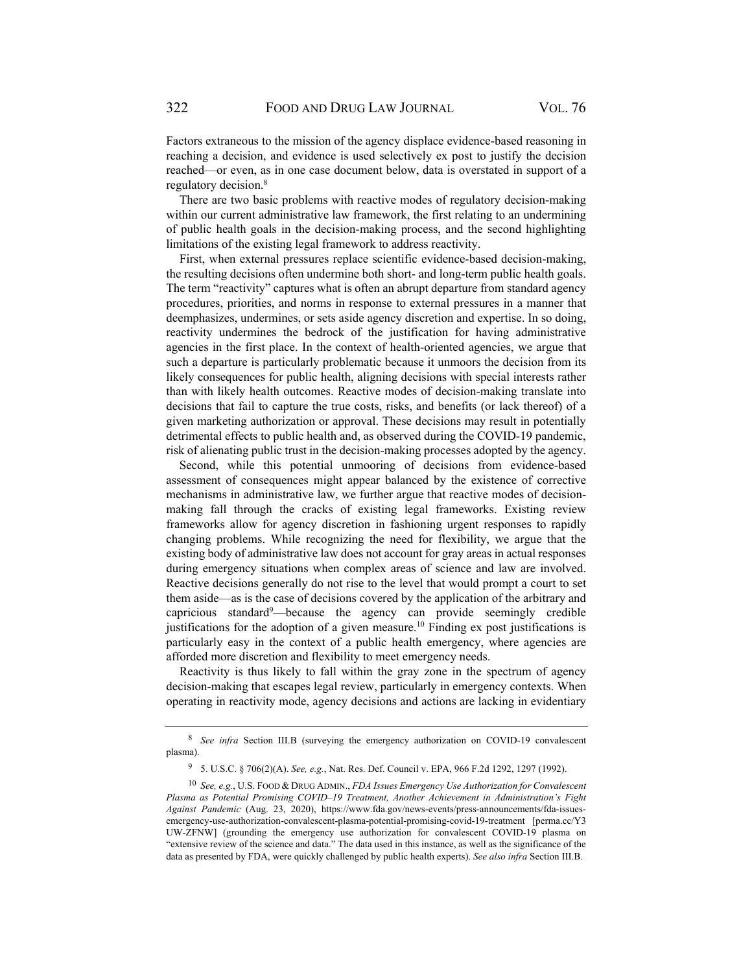Factors extraneous to the mission of the agency displace evidence-based reasoning in reaching a decision, and evidence is used selectively ex post to justify the decision reached—or even, as in one case document below, data is overstated in support of a regulatory decision.<sup>8</sup>

There are two basic problems with reactive modes of regulatory decision-making within our current administrative law framework, the first relating to an undermining of public health goals in the decision-making process, and the second highlighting limitations of the existing legal framework to address reactivity.

First, when external pressures replace scientific evidence-based decision-making, the resulting decisions often undermine both short- and long-term public health goals. The term "reactivity" captures what is often an abrupt departure from standard agency procedures, priorities, and norms in response to external pressures in a manner that deemphasizes, undermines, or sets aside agency discretion and expertise. In so doing, reactivity undermines the bedrock of the justification for having administrative agencies in the first place. In the context of health-oriented agencies, we argue that such a departure is particularly problematic because it unmoors the decision from its likely consequences for public health, aligning decisions with special interests rather than with likely health outcomes. Reactive modes of decision-making translate into decisions that fail to capture the true costs, risks, and benefits (or lack thereof) of a given marketing authorization or approval. These decisions may result in potentially detrimental effects to public health and, as observed during the COVID-19 pandemic, risk of alienating public trust in the decision-making processes adopted by the agency.

Second, while this potential unmooring of decisions from evidence-based assessment of consequences might appear balanced by the existence of corrective mechanisms in administrative law, we further argue that reactive modes of decisionmaking fall through the cracks of existing legal frameworks. Existing review frameworks allow for agency discretion in fashioning urgent responses to rapidly changing problems. While recognizing the need for flexibility, we argue that the existing body of administrative law does not account for gray areas in actual responses during emergency situations when complex areas of science and law are involved. Reactive decisions generally do not rise to the level that would prompt a court to set them aside—as is the case of decisions covered by the application of the arbitrary and capricious standard<sup>9</sup>—because the agency can provide seemingly credible justifications for the adoption of a given measure.<sup>10</sup> Finding ex post justifications is particularly easy in the context of a public health emergency, where agencies are afforded more discretion and flexibility to meet emergency needs.

Reactivity is thus likely to fall within the gray zone in the spectrum of agency decision-making that escapes legal review, particularly in emergency contexts. When operating in reactivity mode, agency decisions and actions are lacking in evidentiary

<sup>8</sup> *See infra* Section III.B (surveying the emergency authorization on COVID-19 convalescent plasma).

<sup>9 5.</sup> U.S.C. § 706(2)(A). *See, e.g.*, Nat. Res. Def. Council v. EPA, 966 F.2d 1292, 1297 (1992).

<sup>10</sup> *See, e.g.*, U.S. FOOD & DRUG ADMIN., *FDA Issues Emergency Use Authorization for Convalescent Plasma as Potential Promising COVID–19 Treatment, Another Achievement in Administration's Fight Against Pandemic* (Aug. 23, 2020), https://www.fda.gov/news-events/press-announcements/fda-issuesemergency-use-authorization-convalescent-plasma-potential-promising-covid-19-treatment [perma.cc/Y3 UW-ZFNW] (grounding the emergency use authorization for convalescent COVID-19 plasma on "extensive review of the science and data." The data used in this instance, as well as the significance of the data as presented by FDA, were quickly challenged by public health experts). *See also infra* Section III.B.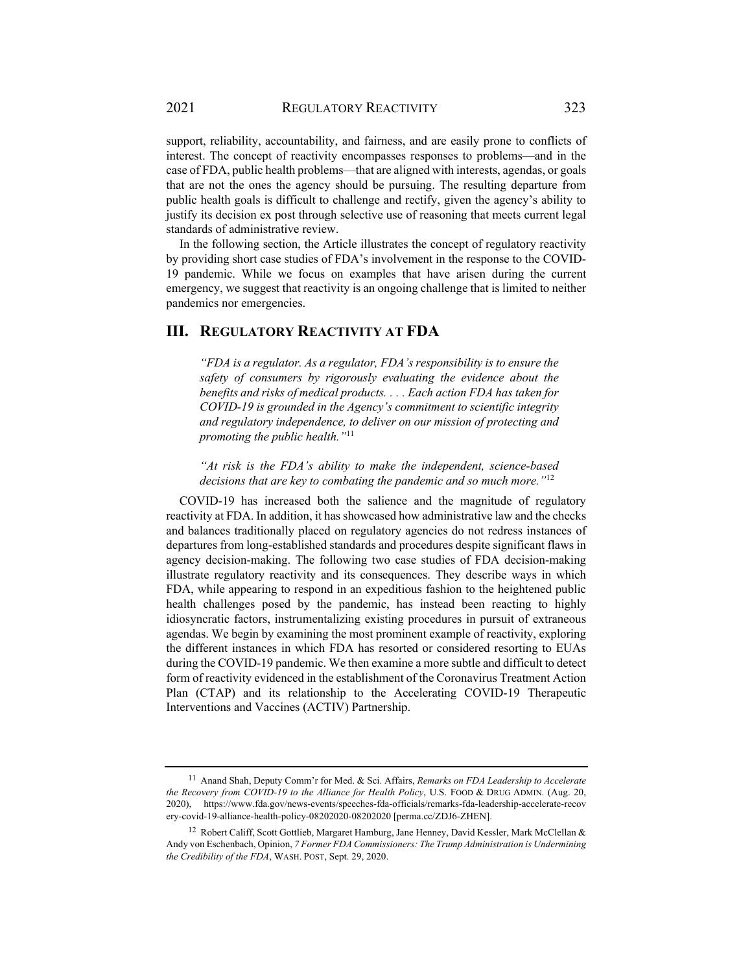support, reliability, accountability, and fairness, and are easily prone to conflicts of interest. The concept of reactivity encompasses responses to problems—and in the case of FDA, public health problems—that are aligned with interests, agendas, or goals that are not the ones the agency should be pursuing. The resulting departure from public health goals is difficult to challenge and rectify, given the agency's ability to justify its decision ex post through selective use of reasoning that meets current legal standards of administrative review.

In the following section, the Article illustrates the concept of regulatory reactivity by providing short case studies of FDA's involvement in the response to the COVID-19 pandemic. While we focus on examples that have arisen during the current emergency, we suggest that reactivity is an ongoing challenge that is limited to neither pandemics nor emergencies.

# **III. REGULATORY REACTIVITY AT FDA**

*"FDA is a regulator. As a regulator, FDA's responsibility is to ensure the safety of consumers by rigorously evaluating the evidence about the benefits and risks of medical products. . . . Each action FDA has taken for COVID-19 is grounded in the Agency's commitment to scientific integrity and regulatory independence, to deliver on our mission of protecting and promoting the public health."*<sup>11</sup>

*"At risk is the FDA's ability to make the independent, science-based decisions that are key to combating the pandemic and so much more."*<sup>12</sup>

COVID-19 has increased both the salience and the magnitude of regulatory reactivity at FDA. In addition, it has showcased how administrative law and the checks and balances traditionally placed on regulatory agencies do not redress instances of departures from long-established standards and procedures despite significant flaws in agency decision-making. The following two case studies of FDA decision-making illustrate regulatory reactivity and its consequences. They describe ways in which FDA, while appearing to respond in an expeditious fashion to the heightened public health challenges posed by the pandemic, has instead been reacting to highly idiosyncratic factors, instrumentalizing existing procedures in pursuit of extraneous agendas. We begin by examining the most prominent example of reactivity, exploring the different instances in which FDA has resorted or considered resorting to EUAs during the COVID-19 pandemic. We then examine a more subtle and difficult to detect form of reactivity evidenced in the establishment of the Coronavirus Treatment Action Plan (CTAP) and its relationship to the Accelerating COVID-19 Therapeutic Interventions and Vaccines (ACTIV) Partnership.

<sup>11</sup> Anand Shah, Deputy Comm'r for Med. & Sci. Affairs, *Remarks on FDA Leadership to Accelerate the Recovery from COVID-19 to the Alliance for Health Policy*, U.S. FOOD & DRUG ADMIN. (Aug. 20, 2020), https://www.fda.gov/news-events/speeches-fda-officials/remarks-fda-leadership-accelerate-recov ery-covid-19-alliance-health-policy-08202020-08202020 [perma.cc/ZDJ6-ZHEN].

<sup>&</sup>lt;sup>12</sup> Robert Califf, Scott Gottlieb, Margaret Hamburg, Jane Henney, David Kessler, Mark McClellan & Andy von Eschenbach, Opinion, *7 Former FDA Commissioners: The Trump Administration is Undermining the Credibility of the FDA*, WASH. POST, Sept. 29, 2020.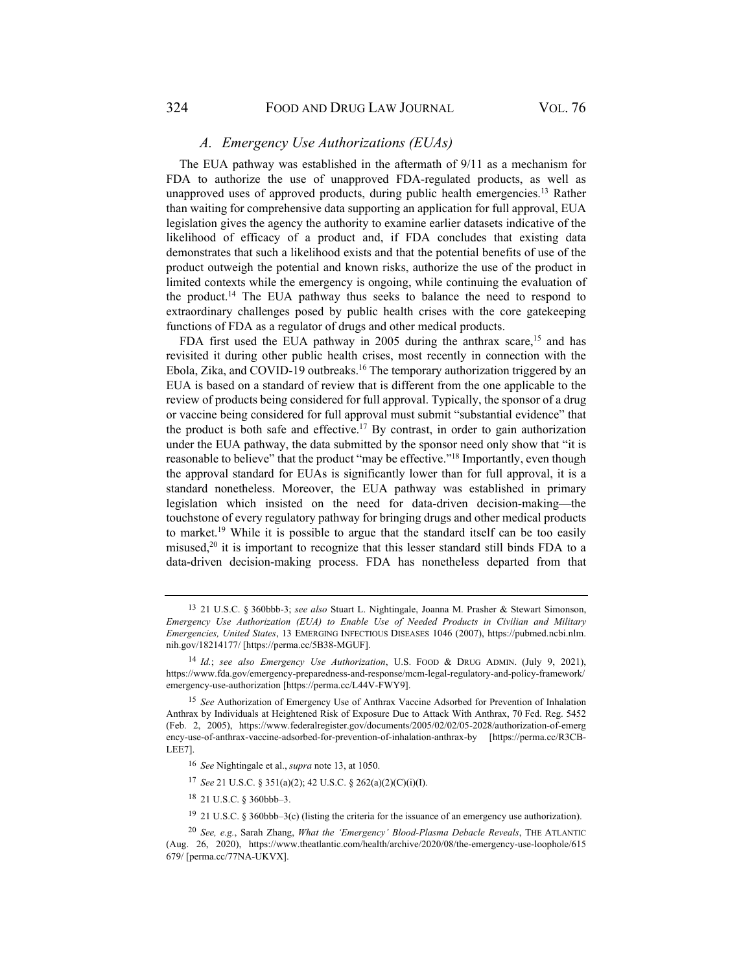## *A. Emergency Use Authorizations (EUAs)*

The EUA pathway was established in the aftermath of 9/11 as a mechanism for FDA to authorize the use of unapproved FDA-regulated products, as well as unapproved uses of approved products, during public health emergencies.13 Rather than waiting for comprehensive data supporting an application for full approval, EUA legislation gives the agency the authority to examine earlier datasets indicative of the likelihood of efficacy of a product and, if FDA concludes that existing data demonstrates that such a likelihood exists and that the potential benefits of use of the product outweigh the potential and known risks, authorize the use of the product in limited contexts while the emergency is ongoing, while continuing the evaluation of the product.<sup>14</sup> The EUA pathway thus seeks to balance the need to respond to extraordinary challenges posed by public health crises with the core gatekeeping functions of FDA as a regulator of drugs and other medical products.

FDA first used the EUA pathway in 2005 during the anthrax scare,<sup>15</sup> and has revisited it during other public health crises, most recently in connection with the Ebola, Zika, and COVID-19 outbreaks.16 The temporary authorization triggered by an EUA is based on a standard of review that is different from the one applicable to the review of products being considered for full approval. Typically, the sponsor of a drug or vaccine being considered for full approval must submit "substantial evidence" that the product is both safe and effective.<sup>17</sup> By contrast, in order to gain authorization under the EUA pathway, the data submitted by the sponsor need only show that "it is reasonable to believe" that the product "may be effective."18 Importantly, even though the approval standard for EUAs is significantly lower than for full approval, it is a standard nonetheless. Moreover, the EUA pathway was established in primary legislation which insisted on the need for data-driven decision-making—the touchstone of every regulatory pathway for bringing drugs and other medical products to market.19 While it is possible to argue that the standard itself can be too easily misused,20 it is important to recognize that this lesser standard still binds FDA to a data-driven decision-making process. FDA has nonetheless departed from that

<sup>17</sup> *See* 21 U.S.C. § 351(a)(2); 42 U.S.C. § 262(a)(2)(C)(i)(I).

18 21 U.S.C. § 360bbb–3.

19 21 U.S.C. § 360bbb–3(c) (listing the criteria for the issuance of an emergency use authorization).

<sup>13 21</sup> U.S.C. § 360bbb-3; *see also* Stuart L. Nightingale, Joanna M. Prasher & Stewart Simonson, *Emergency Use Authorization (EUA) to Enable Use of Needed Products in Civilian and Military Emergencies, United States*, 13 EMERGING INFECTIOUS DISEASES 1046 (2007), https://pubmed.ncbi.nlm. nih.gov/18214177/ [https://perma.cc/5B38-MGUF].

<sup>14</sup> *Id.*; *see also Emergency Use Authorization*, U.S. FOOD & DRUG ADMIN. (July 9, 2021), https://www.fda.gov/emergency-preparedness-and-response/mcm-legal-regulatory-and-policy-framework/ emergency-use-authorization [https://perma.cc/L44V-FWY9].

<sup>15</sup> *See* Authorization of Emergency Use of Anthrax Vaccine Adsorbed for Prevention of Inhalation Anthrax by Individuals at Heightened Risk of Exposure Due to Attack With Anthrax, 70 Fed. Reg. 5452 (Feb. 2, 2005), https://www.federalregister.gov/documents/2005/02/02/05-2028/authorization-of-emerg ency-use-of-anthrax-vaccine-adsorbed-for-prevention-of-inhalation-anthrax-by [https://perma.cc/R3CB-LEE7].

<sup>16</sup> *See* Nightingale et al., *supra* note 13, at 1050.

<sup>20</sup> *See, e.g.*, Sarah Zhang, *What the 'Emergency' Blood-Plasma Debacle Reveals*, THE ATLANTIC (Aug. 26, 2020), https://www.theatlantic.com/health/archive/2020/08/the-emergency-use-loophole/615 679/ [perma.cc/77NA-UKVX].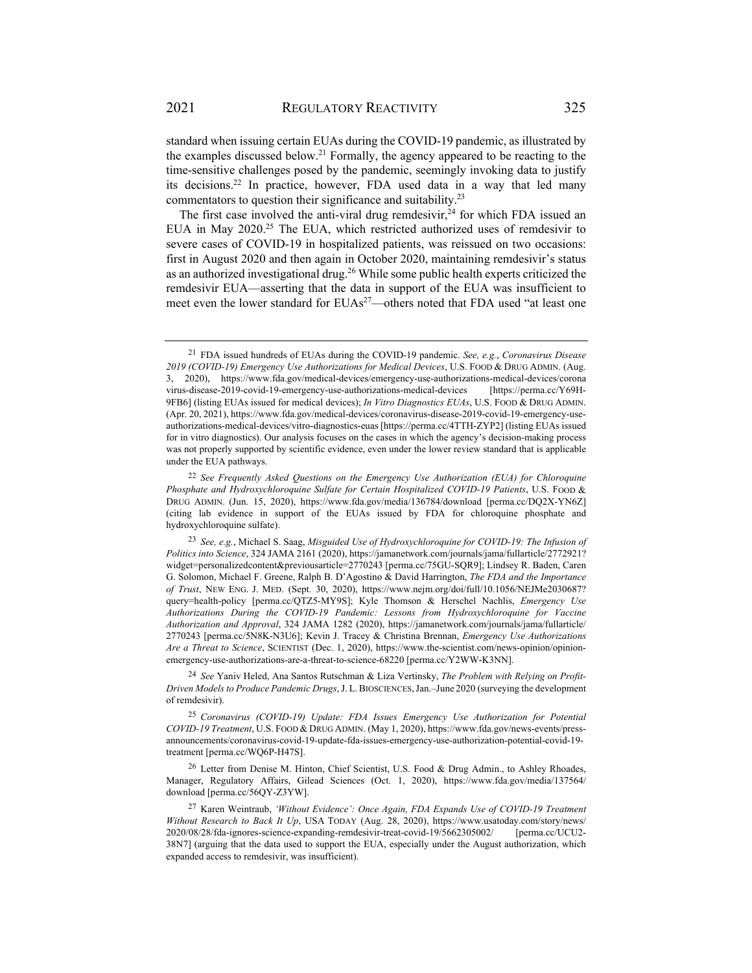standard when issuing certain EUAs during the COVID-19 pandemic, as illustrated by the examples discussed below.<sup>21</sup> Formally, the agency appeared to be reacting to the time-sensitive challenges posed by the pandemic, seemingly invoking data to justify its decisions.<sup>22</sup> In practice, however, FDA used data in a way that led many commentators to question their significance and suitability.23

The first case involved the anti-viral drug remdesivir,  $24$  for which FDA issued an EUA in May 2020.<sup>25</sup> The EUA, which restricted authorized uses of remdesivir to severe cases of COVID-19 in hospitalized patients, was reissued on two occasions: first in August 2020 and then again in October 2020, maintaining remdesivir's status as an authorized investigational drug.<sup>26</sup> While some public health experts criticized the remdesivir EUA—asserting that the data in support of the EUA was insufficient to meet even the lower standard for EUAs<sup>27</sup>—others noted that FDA used "at least one

<sup>21</sup> FDA issued hundreds of EUAs during the COVID-19 pandemic. *See, e.g.*, *Coronavirus Disease 2019 (COVID-19) Emergency Use Authorizations for Medical Devices*, U.S. FOOD & DRUG ADMIN. (Aug. 3, 2020), https://www.fda.gov/medical-devices/emergency-use-authorizations-medical-devices/corona virus-disease-2019-covid-19-emergency-use-authorizations-medical-devices [https://perma.cc/Y69H-9FB6] (listing EUAs issued for medical devices); *In Vitro Diagnostics EUAs*, U.S. FOOD & DRUG ADMIN. (Apr. 20, 2021), https://www.fda.gov/medical-devices/coronavirus-disease-2019-covid-19-emergency-useauthorizations-medical-devices/vitro-diagnostics-euas [https://perma.cc/4TTH-ZYP2] (listing EUAs issued for in vitro diagnostics). Our analysis focuses on the cases in which the agency's decision-making process was not properly supported by scientific evidence, even under the lower review standard that is applicable under the EUA pathways.

<sup>22</sup> *See Frequently Asked Questions on the Emergency Use Authorization (EUA) for Chloroquine Phosphate and Hydroxychloroquine Sulfate for Certain Hospitalized COVID-19 Patients*, U.S. FOOD & DRUG ADMIN. (Jun. 15, 2020), https://www.fda.gov/media/136784/download [perma.cc/DQ2X-YN6Z] (citing lab evidence in support of the EUAs issued by FDA for chloroquine phosphate and hydroxychloroquine sulfate).

<sup>23</sup> *See, e.g.*, Michael S. Saag, *Misguided Use of Hydroxychloroquine for COVID-19: The Infusion of Politics into Science*, 324 JAMA 2161 (2020), https://jamanetwork.com/journals/jama/fullarticle/2772921? widget=personalizedcontent&previousarticle=2770243 [perma.cc/75GU-SQR9]; Lindsey R. Baden, Caren G. Solomon, Michael F. Greene, Ralph B. D'Agostino & David Harrington, *The FDA and the Importance of Trust*, NEW ENG. J. MED. (Sept. 30, 2020), https://www.nejm.org/doi/full/10.1056/NEJMe2030687? query=health-policy [perma.cc/QTZ5-MY9S]; Kyle Thomson & Herschel Nachlis, *Emergency Use Authorizations During the COVID-19 Pandemic: Lessons from Hydroxychloroquine for Vaccine Authorization and Approval*, 324 JAMA 1282 (2020), https://jamanetwork.com/journals/jama/fullarticle/ 2770243 [perma.cc/5N8K-N3U6]; Kevin J. Tracey & Christina Brennan, *Emergency Use Authorizations Are a Threat to Science*, SCIENTIST (Dec. 1, 2020), https://www.the-scientist.com/news-opinion/opinionemergency-use-authorizations-are-a-threat-to-science-68220 [perma.cc/Y2WW-K3NN].

<sup>24</sup> *See* Yaniv Heled, Ana Santos Rutschman & Liza Vertinsky, *The Problem with Relying on Profit-Driven Models to Produce Pandemic Drugs*, J. L.BIOSCIENCES,Jan.–June 2020 (surveying the development of remdesivir).

<sup>25</sup> *Coronavirus (COVID-19) Update: FDA Issues Emergency Use Authorization for Potential COVID-19 Treatment*, U.S. FOOD & DRUG ADMIN. (May 1, 2020), https://www.fda.gov/news-events/pressannouncements/coronavirus-covid-19-update-fda-issues-emergency-use-authorization-potential-covid-19 treatment [perma.cc/WQ6P-H47S].

<sup>&</sup>lt;sup>26</sup> Letter from Denise M. Hinton, Chief Scientist, U.S. Food & Drug Admin., to Ashley Rhoades, Manager, Regulatory Affairs, Gilead Sciences (Oct. 1, 2020), https://www.fda.gov/media/137564/ download [perma.cc/56QY-Z3YW].

<sup>27</sup> Karen Weintraub, *'Without Evidence': Once Again, FDA Expands Use of COVID-19 Treatment Without Research to Back It Up*, USA TODAY (Aug. 28, 2020), https://www.usatoday.com/story/news/ 2020/08/28/fda-ignores-science-expanding-remdesivir-treat-covid-19/5662305002/ [perma.cc/UCU2- 38N7] (arguing that the data used to support the EUA, especially under the August authorization, which expanded access to remdesivir, was insufficient).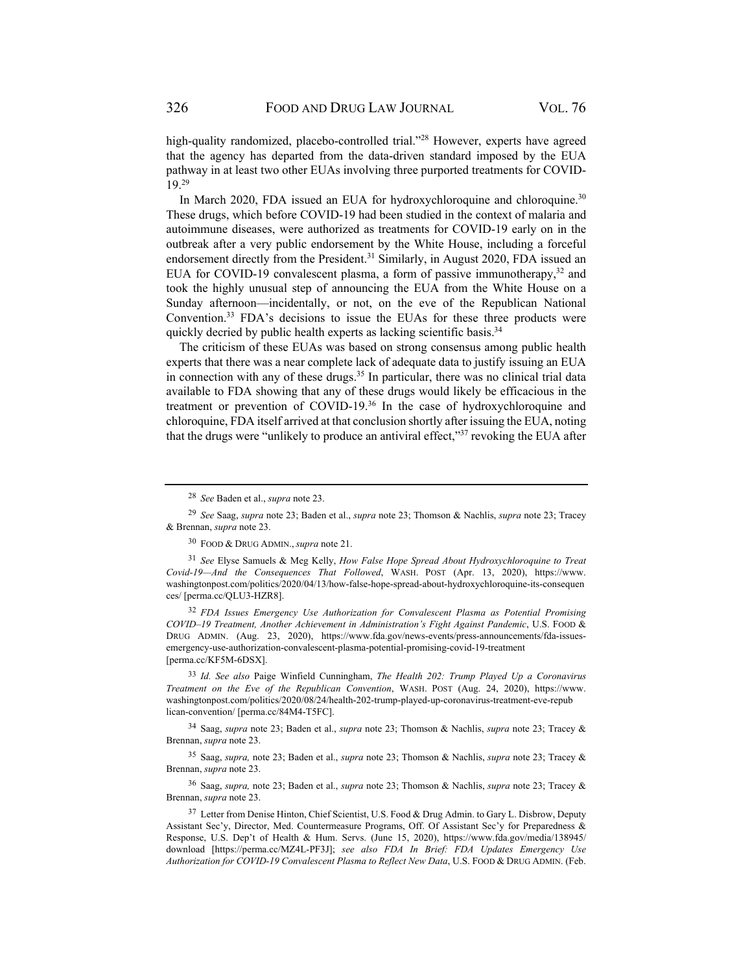high-quality randomized, placebo-controlled trial."<sup>28</sup> However, experts have agreed that the agency has departed from the data-driven standard imposed by the EUA pathway in at least two other EUAs involving three purported treatments for COVID-19.29

In March 2020, FDA issued an EUA for hydroxychloroquine and chloroquine.<sup>30</sup> These drugs, which before COVID-19 had been studied in the context of malaria and autoimmune diseases, were authorized as treatments for COVID-19 early on in the outbreak after a very public endorsement by the White House, including a forceful endorsement directly from the President.<sup>31</sup> Similarly, in August 2020, FDA issued an EUA for COVID-19 convalescent plasma, a form of passive immunotherapy,  $32$  and took the highly unusual step of announcing the EUA from the White House on a Sunday afternoon—incidentally, or not, on the eve of the Republican National Convention.33 FDA's decisions to issue the EUAs for these three products were quickly decried by public health experts as lacking scientific basis.<sup>34</sup>

The criticism of these EUAs was based on strong consensus among public health experts that there was a near complete lack of adequate data to justify issuing an EUA in connection with any of these drugs.<sup>35</sup> In particular, there was no clinical trial data available to FDA showing that any of these drugs would likely be efficacious in the treatment or prevention of COVID-19.36 In the case of hydroxychloroquine and chloroquine, FDA itself arrived at that conclusion shortly after issuing the EUA, noting that the drugs were "unlikely to produce an antiviral effect," $37$  revoking the EUA after

<sup>32</sup> *FDA Issues Emergency Use Authorization for Convalescent Plasma as Potential Promising COVID–19 Treatment, Another Achievement in Administration's Fight Against Pandemic*, U.S. FOOD & DRUG ADMIN. (Aug. 23, 2020), https://www.fda.gov/news-events/press-announcements/fda-issuesemergency-use-authorization-convalescent-plasma-potential-promising-covid-19-treatment [perma.cc/KF5M-6DSX].

<sup>33</sup> *Id. See also* Paige Winfield Cunningham, *The Health 202: Trump Played Up a Coronavirus Treatment on the Eve of the Republican Convention*, WASH. POST (Aug. 24, 2020), https://www. washingtonpost.com/politics/2020/08/24/health-202-trump-played-up-coronavirus-treatment-eve-repub lican-convention/ [perma.cc/84M4-T5FC].

34 Saag, *supra* note 23; Baden et al., *supra* note 23; Thomson & Nachlis, *supra* note 23; Tracey & Brennan, *supra* note 23.

35 Saag, *supra,* note 23; Baden et al., *supra* note 23; Thomson & Nachlis, *supra* note 23; Tracey & Brennan, *supra* note 23.

36 Saag, *supra,* note 23; Baden et al., *supra* note 23; Thomson & Nachlis, *supra* note 23; Tracey & Brennan, *supra* note 23.

<sup>37</sup> Letter from Denise Hinton, Chief Scientist, U.S. Food & Drug Admin. to Gary L. Disbrow, Deputy Assistant Sec'y, Director, Med. Countermeasure Programs, Off. Of Assistant Sec'y for Preparedness & Response, U.S. Dep't of Health & Hum. Servs. (June 15, 2020), https://www.fda.gov/media/138945/ download [https://perma.cc/MZ4L-PF3J]; *see also FDA In Brief: FDA Updates Emergency Use Authorization for COVID-19 Convalescent Plasma to Reflect New Data*, U.S. FOOD & DRUG ADMIN. (Feb.

<sup>28</sup> *See* Baden et al., *supra* note 23.

<sup>29</sup> *See* Saag, *supra* note 23; Baden et al., *supra* note 23; Thomson & Nachlis, *supra* note 23; Tracey & Brennan, *supra* note 23.

<sup>30</sup> FOOD & DRUG ADMIN., *supra* note 21.

<sup>31</sup> *See* Elyse Samuels & Meg Kelly, *How False Hope Spread About Hydroxychloroquine to Treat Covid-19—And the Consequences That Followed*, WASH. POST (Apr. 13, 2020), https://www. washingtonpost.com/politics/2020/04/13/how-false-hope-spread-about-hydroxychloroquine-its-consequen ces/ [perma.cc/QLU3-HZR8].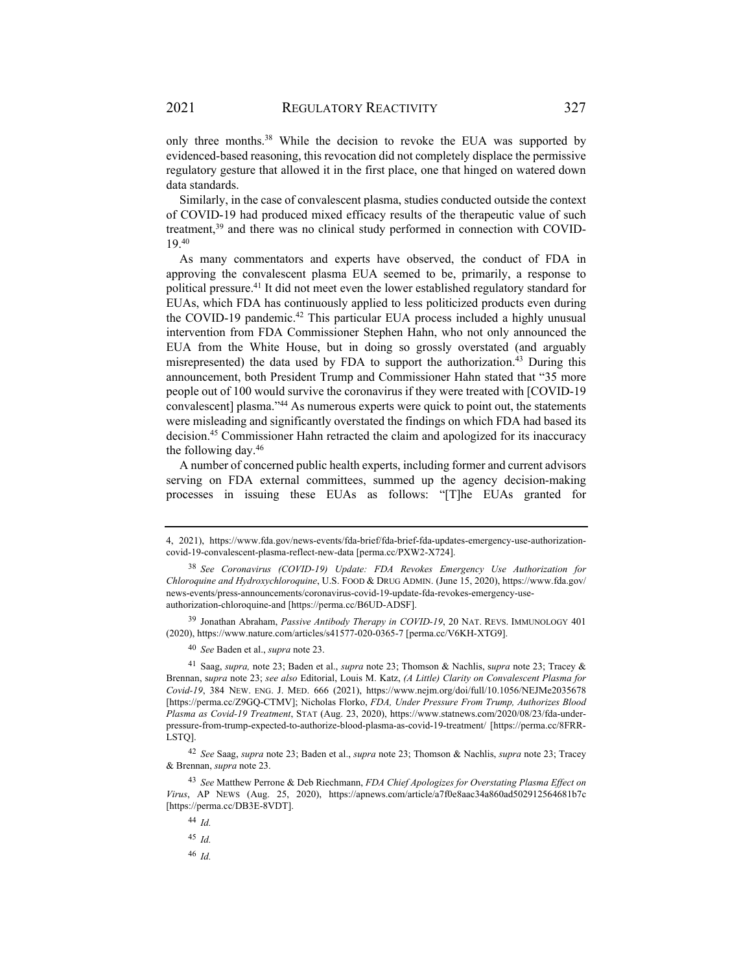only three months.38 While the decision to revoke the EUA was supported by evidenced-based reasoning, this revocation did not completely displace the permissive regulatory gesture that allowed it in the first place, one that hinged on watered down data standards.

Similarly, in the case of convalescent plasma, studies conducted outside the context of COVID-19 had produced mixed efficacy results of the therapeutic value of such treatment,<sup>39</sup> and there was no clinical study performed in connection with COVID-19.40

As many commentators and experts have observed, the conduct of FDA in approving the convalescent plasma EUA seemed to be, primarily, a response to political pressure.41 It did not meet even the lower established regulatory standard for EUAs, which FDA has continuously applied to less politicized products even during the COVID-19 pandemic.<sup>42</sup> This particular EUA process included a highly unusual intervention from FDA Commissioner Stephen Hahn, who not only announced the EUA from the White House, but in doing so grossly overstated (and arguably misrepresented) the data used by FDA to support the authorization.43 During this announcement, both President Trump and Commissioner Hahn stated that "35 more people out of 100 would survive the coronavirus if they were treated with [COVID-19 convalescent] plasma."44 As numerous experts were quick to point out, the statements were misleading and significantly overstated the findings on which FDA had based its decision.45 Commissioner Hahn retracted the claim and apologized for its inaccuracy the following day.46

A number of concerned public health experts, including former and current advisors serving on FDA external committees, summed up the agency decision-making processes in issuing these EUAs as follows: "[T]he EUAs granted for

39 Jonathan Abraham, *Passive Antibody Therapy in COVID-19*, 20 NAT. REVS. IMMUNOLOGY 401 (2020), https://www.nature.com/articles/s41577-020-0365-7 [perma.cc/V6KH-XTG9].

<sup>40</sup> *See* Baden et al., *supra* note 23.

41 Saag, *supra,* note 23; Baden et al., *supra* note 23; Thomson & Nachlis, s*upra* note 23; Tracey & Brennan, s*upra* note 23; *see also* Editorial, Louis M. Katz, *(A Little) Clarity on Convalescent Plasma for Covid-19*, 384 NEW. ENG. J. MED. 666 (2021), https://www.nejm.org/doi/full/10.1056/NEJMe2035678 [https://perma.cc/Z9GQ-CTMV]; Nicholas Florko, *FDA, Under Pressure From Trump, Authorizes Blood Plasma as Covid-19 Treatment*, STAT (Aug. 23, 2020), https://www.statnews.com/2020/08/23/fda-underpressure-from-trump-expected-to-authorize-blood-plasma-as-covid-19-treatment/ [https://perma.cc/8FRR-LSTQ].

<sup>42</sup> *See* Saag, *supra* note 23; Baden et al., *supra* note 23; Thomson & Nachlis, *supra* note 23; Tracey & Brennan, *supra* note 23.

<sup>43</sup> *See* Matthew Perrone & Deb Riechmann, *FDA Chief Apologizes for Overstating Plasma Effect on Virus*, AP NEWS (Aug. 25, 2020), https://apnews.com/article/a7f0e8aac34a860ad502912564681b7c [https://perma.cc/DB3E-8VDT].

<sup>44</sup> *Id.*

<sup>45</sup> *Id.*

<sup>46</sup> *Id.*

<sup>4, 2021),</sup> https://www.fda.gov/news-events/fda-brief/fda-brief-fda-updates-emergency-use-authorizationcovid-19-convalescent-plasma-reflect-new-data [perma.cc/PXW2-X724].

<sup>38</sup> *See Coronavirus (COVID-19) Update: FDA Revokes Emergency Use Authorization for Chloroquine and Hydroxychloroquine*, U.S. FOOD & DRUG ADMIN. (June 15, 2020), https://www.fda.gov/ news-events/press-announcements/coronavirus-covid-19-update-fda-revokes-emergency-useauthorization-chloroquine-and [https://perma.cc/B6UD-ADSF].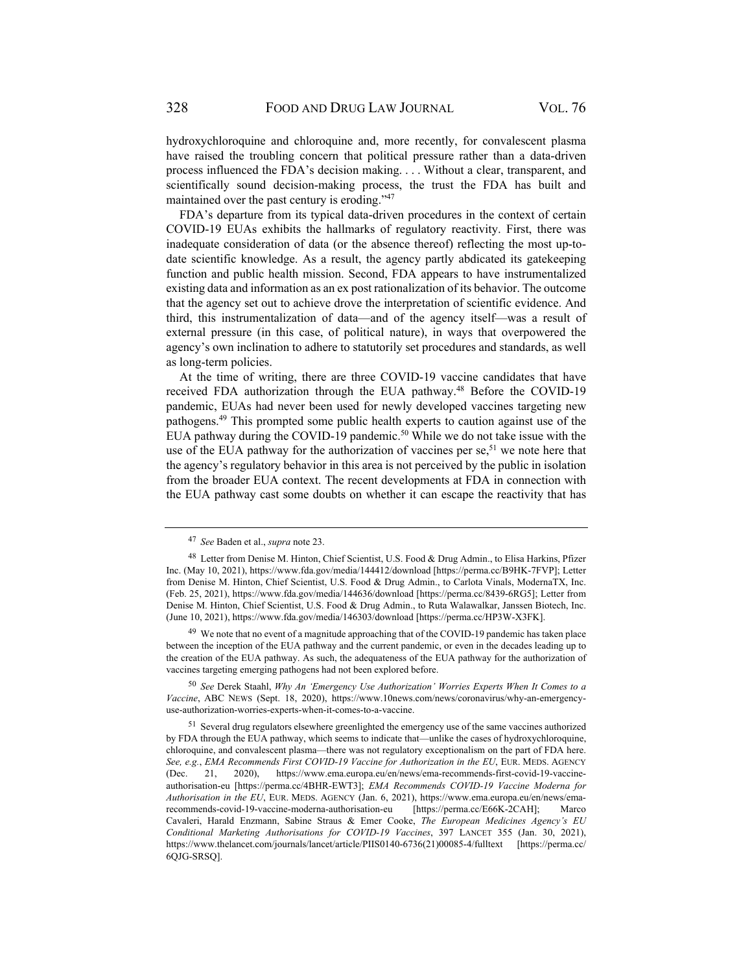hydroxychloroquine and chloroquine and, more recently, for convalescent plasma have raised the troubling concern that political pressure rather than a data-driven process influenced the FDA's decision making. . . . Without a clear, transparent, and scientifically sound decision-making process, the trust the FDA has built and maintained over the past century is eroding."47

FDA's departure from its typical data-driven procedures in the context of certain COVID-19 EUAs exhibits the hallmarks of regulatory reactivity. First, there was inadequate consideration of data (or the absence thereof) reflecting the most up-todate scientific knowledge. As a result, the agency partly abdicated its gatekeeping function and public health mission. Second, FDA appears to have instrumentalized existing data and information as an ex post rationalization of its behavior. The outcome that the agency set out to achieve drove the interpretation of scientific evidence. And third, this instrumentalization of data—and of the agency itself—was a result of external pressure (in this case, of political nature), in ways that overpowered the agency's own inclination to adhere to statutorily set procedures and standards, as well as long-term policies.

At the time of writing, there are three COVID-19 vaccine candidates that have received FDA authorization through the EUA pathway.<sup>48</sup> Before the COVID-19 pandemic, EUAs had never been used for newly developed vaccines targeting new pathogens.49 This prompted some public health experts to caution against use of the EUA pathway during the COVID-19 pandemic.<sup>50</sup> While we do not take issue with the use of the EUA pathway for the authorization of vaccines per se,  $51$  we note here that the agency's regulatory behavior in this area is not perceived by the public in isolation from the broader EUA context. The recent developments at FDA in connection with the EUA pathway cast some doubts on whether it can escape the reactivity that has

<sup>49</sup> We note that no event of a magnitude approaching that of the COVID-19 pandemic has taken place between the inception of the EUA pathway and the current pandemic, or even in the decades leading up to the creation of the EUA pathway. As such, the adequateness of the EUA pathway for the authorization of vaccines targeting emerging pathogens had not been explored before.

<sup>50</sup> *See* Derek Staahl, *Why An 'Emergency Use Authorization' Worries Experts When It Comes to a Vaccine*, ABC NEWS (Sept. 18, 2020), https://www.10news.com/news/coronavirus/why-an-emergencyuse-authorization-worries-experts-when-it-comes-to-a-vaccine.

<sup>47</sup> *See* Baden et al., *supra* note 23.

<sup>48</sup> Letter from Denise M. Hinton, Chief Scientist, U.S. Food & Drug Admin., to Elisa Harkins, Pfizer Inc. (May 10, 2021), https://www.fda.gov/media/144412/download [https://perma.cc/B9HK-7FVP]; Letter from Denise M. Hinton, Chief Scientist, U.S. Food & Drug Admin., to Carlota Vinals, ModernaTX, Inc. (Feb. 25, 2021), https://www.fda.gov/media/144636/download [https://perma.cc/8439-6RG5]; Letter from Denise M. Hinton, Chief Scientist, U.S. Food & Drug Admin., to Ruta Walawalkar, Janssen Biotech, Inc. (June 10, 2021), https://www.fda.gov/media/146303/download [https://perma.cc/HP3W-X3FK].

<sup>&</sup>lt;sup>51</sup> Several drug regulators elsewhere greenlighted the emergency use of the same vaccines authorized by FDA through the EUA pathway, which seems to indicate that—unlike the cases of hydroxychloroquine, chloroquine, and convalescent plasma—there was not regulatory exceptionalism on the part of FDA here. *See, e.g.*, *EMA Recommends First COVID-19 Vaccine for Authorization in the EU*, EUR. MEDS. AGENCY (Dec. 21, 2020), https://www.ema.europa.eu/en/news/ema-recommends-first-covid-19-vaccineauthorisation-eu [https://perma.cc/4BHR-EWT3]; *EMA Recommends COVID-19 Vaccine Moderna for Authorisation in the EU*, EUR. MEDS. AGENCY (Jan. 6, 2021), https://www.ema.europa.eu/en/news/emarecommends-covid-19-vaccine-moderna-authorisation-eu [https://perma.cc/E66K-2CAH]; Marco Cavaleri, Harald Enzmann, Sabine Straus & Emer Cooke, *The European Medicines Agency's EU Conditional Marketing Authorisations for COVID-19 Vaccines*, 397 LANCET 355 (Jan. 30, 2021), https://www.thelancet.com/journals/lancet/article/PIIS0140-6736(21)00085-4/fulltext [https://perma.cc/ 6QJG-SRSQ].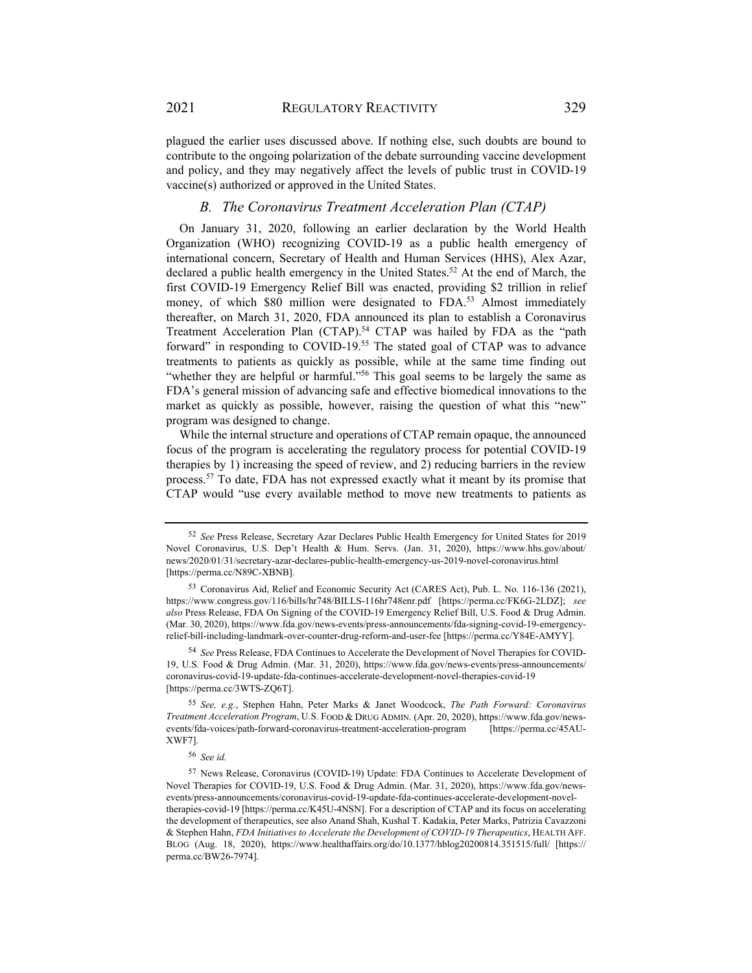plagued the earlier uses discussed above. If nothing else, such doubts are bound to

contribute to the ongoing polarization of the debate surrounding vaccine development and policy, and they may negatively affect the levels of public trust in COVID-19 vaccine(s) authorized or approved in the United States.

#### *B. The Coronavirus Treatment Acceleration Plan (CTAP)*

On January 31, 2020, following an earlier declaration by the World Health Organization (WHO) recognizing COVID-19 as a public health emergency of international concern, Secretary of Health and Human Services (HHS), Alex Azar, declared a public health emergency in the United States.<sup>52</sup> At the end of March, the first COVID-19 Emergency Relief Bill was enacted, providing \$2 trillion in relief money, of which \$80 million were designated to FDA.<sup>53</sup> Almost immediately thereafter, on March 31, 2020, FDA announced its plan to establish a Coronavirus Treatment Acceleration Plan (CTAP).<sup>54</sup> CTAP was hailed by FDA as the "path forward" in responding to COVID-19.<sup>55</sup> The stated goal of CTAP was to advance treatments to patients as quickly as possible, while at the same time finding out "whether they are helpful or harmful."<sup>56</sup> This goal seems to be largely the same as FDA's general mission of advancing safe and effective biomedical innovations to the market as quickly as possible, however, raising the question of what this "new" program was designed to change.

While the internal structure and operations of CTAP remain opaque, the announced focus of the program is accelerating the regulatory process for potential COVID-19 therapies by 1) increasing the speed of review, and 2) reducing barriers in the review process.57 To date, FDA has not expressed exactly what it meant by its promise that CTAP would "use every available method to move new treatments to patients as

<sup>52</sup> *See* Press Release, Secretary Azar Declares Public Health Emergency for United States for 2019 Novel Coronavirus, U.S. Dep't Health & Hum. Servs. (Jan. 31, 2020), https://www.hhs.gov/about/ news/2020/01/31/secretary-azar-declares-public-health-emergency-us-2019-novel-coronavirus.html [https://perma.cc/N89C-XBNB].

<sup>53</sup> Coronavirus Aid, Relief and Economic Security Act (CARES Act), Pub. L. No. 116-136 (2021), https://www.congress.gov/116/bills/hr748/BILLS-116hr748enr.pdf [https://perma.cc/FK6G-2LDZ]; *see also* Press Release, FDA On Signing of the COVID-19 Emergency Relief Bill, U.S. Food & Drug Admin. (Mar. 30, 2020), https://www.fda.gov/news-events/press-announcements/fda-signing-covid-19-emergencyrelief-bill-including-landmark-over-counter-drug-reform-and-user-fee [https://perma.cc/Y84E-AMYY].

<sup>54</sup> *See* Press Release, FDA Continues to Accelerate the Development of Novel Therapies for COVID-19, U.S. Food & Drug Admin. (Mar. 31, 2020), https://www.fda.gov/news-events/press-announcements/ coronavirus-covid-19-update-fda-continues-accelerate-development-novel-therapies-covid-19 [https://perma.cc/3WTS-ZQ6T].

<sup>55</sup> *See, e.g.*, Stephen Hahn, Peter Marks & Janet Woodcock, *The Path Forward: Coronavirus Treatment Acceleration Program*, U.S. FOOD & DRUG ADMIN. (Apr. 20, 2020), https://www.fda.gov/newsevents/fda-voices/path-forward-coronavirus-treatment-acceleration-program [https://perma.cc/45AU-XWF7].

<sup>56</sup> *See id.*

<sup>57</sup> News Release, Coronavirus (COVID-19) Update: FDA Continues to Accelerate Development of Novel Therapies for COVID-19, U.S. Food & Drug Admin. (Mar. 31, 2020), https://www.fda.gov/newsevents/press-announcements/coronavirus-covid-19-update-fda-continues-accelerate-development-noveltherapies-covid-19 [https://perma.cc/K45U-4NSN]. For a description of CTAP and its focus on accelerating the development of therapeutics, see also Anand Shah, Kushal T. Kadakia, Peter Marks, Patrizia Cavazzoni & Stephen Hahn, *FDA Initiatives to Accelerate the Development of COVID-19 Therapeutics*, HEALTH AFF. BLOG (Aug. 18, 2020), https://www.healthaffairs.org/do/10.1377/hblog20200814.351515/full/ [https:// perma.cc/BW26-7974].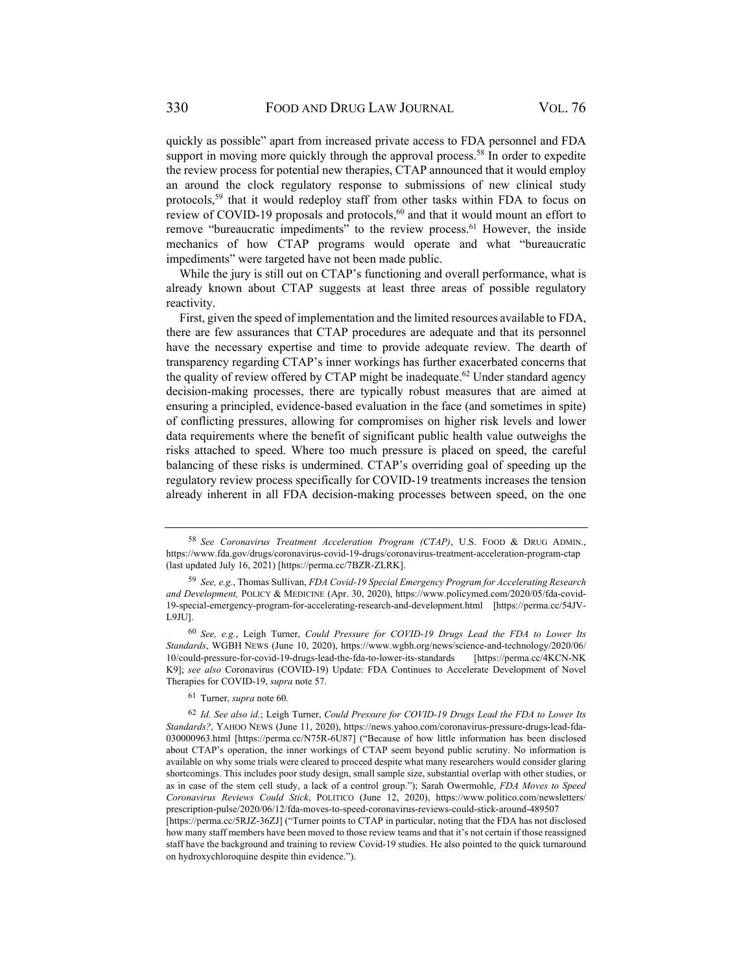quickly as possible" apart from increased private access to FDA personnel and FDA support in moving more quickly through the approval process.<sup>58</sup> In order to expedite the review process for potential new therapies, CTAP announced that it would employ an around the clock regulatory response to submissions of new clinical study protocols,59 that it would redeploy staff from other tasks within FDA to focus on review of COVID-19 proposals and protocols, $60$  and that it would mount an effort to remove "bureaucratic impediments" to the review process.<sup>61</sup> However, the inside mechanics of how CTAP programs would operate and what "bureaucratic impediments" were targeted have not been made public.

While the jury is still out on CTAP's functioning and overall performance, what is already known about CTAP suggests at least three areas of possible regulatory reactivity.

First, given the speed of implementation and the limited resources available to FDA, there are few assurances that CTAP procedures are adequate and that its personnel have the necessary expertise and time to provide adequate review. The dearth of transparency regarding CTAP's inner workings has further exacerbated concerns that the quality of review offered by CTAP might be inadequate.<sup>62</sup> Under standard agency decision-making processes, there are typically robust measures that are aimed at ensuring a principled, evidence-based evaluation in the face (and sometimes in spite) of conflicting pressures, allowing for compromises on higher risk levels and lower data requirements where the benefit of significant public health value outweighs the risks attached to speed. Where too much pressure is placed on speed, the careful balancing of these risks is undermined. CTAP's overriding goal of speeding up the regulatory review process specifically for COVID-19 treatments increases the tension already inherent in all FDA decision-making processes between speed, on the one

on hydroxychloroquine despite thin evidence.").

<sup>58</sup> *See Coronavirus Treatment Acceleration Program (CTAP)*, U.S. FOOD & DRUG ADMIN., https://www.fda.gov/drugs/coronavirus-covid-19-drugs/coronavirus-treatment-acceleration-program-ctap (last updated July 16, 2021) [https://perma.cc/7BZR-ZLRK].

<sup>59</sup> *See, e.g.*, Thomas Sullivan, *FDA Covid-19 Special Emergency Program for Accelerating Research and Development,* POLICY & MEDICINE (Apr. 30, 2020), https://www.policymed.com/2020/05/fda-covid-19-special-emergency-program-for-accelerating-research-and-development.html [https://perma.cc/54JV-L9JU].

<sup>60</sup> *See, e.g.*, Leigh Turner, *Could Pressure for COVID-19 Drugs Lead the FDA to Lower Its Standards*, WGBH NEWS (June 10, 2020), https://www.wgbh.org/news/science-and-technology/2020/06/ 10/could-pressure-for-covid-19-drugs-lead-the-fda-to-lower-its-standards [https://perma.cc/4KCN-NK K9]; *see also* Coronavirus (COVID-19) Update: FDA Continues to Accelerate Development of Novel Therapies for COVID-19, *supra* note 57.

<sup>61</sup> Turner, *supra* note 60*.*

<sup>62</sup> *Id. See also id.*; Leigh Turner, *Could Pressure for COVID-19 Drugs Lead the FDA to Lower Its Standards?*, YAHOO NEWS (June 11, 2020), https://news.yahoo.com/coronavirus-pressure-drugs-lead-fda-030000963.html [https://perma.cc/N75R-6U87] ("Because of how little information has been disclosed about CTAP's operation, the inner workings of CTAP seem beyond public scrutiny. No information is available on why some trials were cleared to proceed despite what many researchers would consider glaring shortcomings. This includes poor study design, small sample size, substantial overlap with other studies, or as in case of the stem cell study, a lack of a control group."); Sarah Owermohle, *FDA Moves to Speed Coronavirus Reviews Could Stick*, POLITICO (June 12, 2020), https://www.politico.com/newsletters/ prescription-pulse/2020/06/12/fda-moves-to-speed-coronavirus-reviews-could-stick-around-489507 [https://perma.cc/5RJZ-36ZJ] ("Turner points to CTAP in particular, noting that the FDA has not disclosed how many staff members have been moved to those review teams and that it's not certain if those reassigned staff have the background and training to review Covid-19 studies. He also pointed to the quick turnaround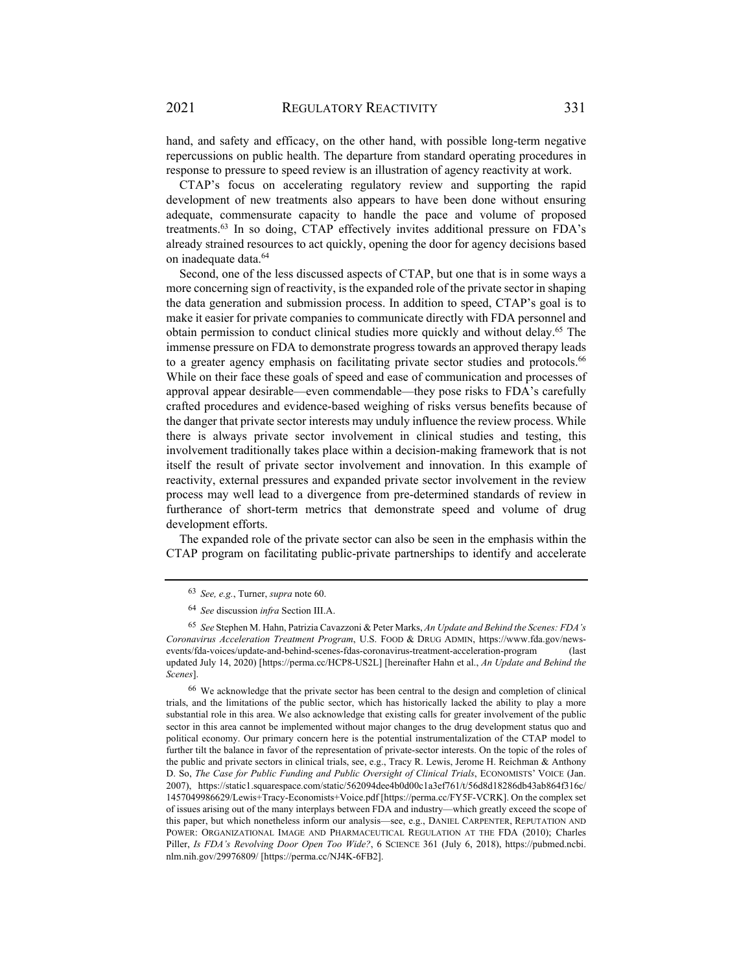hand, and safety and efficacy, on the other hand, with possible long-term negative repercussions on public health. The departure from standard operating procedures in response to pressure to speed review is an illustration of agency reactivity at work.

CTAP's focus on accelerating regulatory review and supporting the rapid development of new treatments also appears to have been done without ensuring adequate, commensurate capacity to handle the pace and volume of proposed treatments.<sup>63</sup> In so doing, CTAP effectively invites additional pressure on FDA's already strained resources to act quickly, opening the door for agency decisions based on inadequate data.64

Second, one of the less discussed aspects of CTAP, but one that is in some ways a more concerning sign of reactivity, is the expanded role of the private sector in shaping the data generation and submission process. In addition to speed, CTAP's goal is to make it easier for private companies to communicate directly with FDA personnel and obtain permission to conduct clinical studies more quickly and without delay.<sup>65</sup> The immense pressure on FDA to demonstrate progress towards an approved therapy leads to a greater agency emphasis on facilitating private sector studies and protocols.<sup>66</sup> While on their face these goals of speed and ease of communication and processes of approval appear desirable—even commendable—they pose risks to FDA's carefully crafted procedures and evidence-based weighing of risks versus benefits because of the danger that private sector interests may unduly influence the review process. While there is always private sector involvement in clinical studies and testing, this involvement traditionally takes place within a decision-making framework that is not itself the result of private sector involvement and innovation. In this example of reactivity, external pressures and expanded private sector involvement in the review process may well lead to a divergence from pre-determined standards of review in furtherance of short-term metrics that demonstrate speed and volume of drug development efforts.

The expanded role of the private sector can also be seen in the emphasis within the CTAP program on facilitating public-private partnerships to identify and accelerate

<sup>63</sup> *See, e.g.*, Turner, *supra* note 60.

<sup>64</sup> *See* discussion *infra* Section III.A.

<sup>65</sup> *See* Stephen M. Hahn, Patrizia Cavazzoni & Peter Marks, *An Update and Behind the Scenes: FDA's Coronavirus Acceleration Treatment Program*, U.S. FOOD & DRUG ADMIN, https://www.fda.gov/newsevents/fda-voices/update-and-behind-scenes-fdas-coronavirus-treatment-acceleration-program (last updated July 14, 2020) [https://perma.cc/HCP8-US2L] [hereinafter Hahn et al., *An Update and Behind the Scenes*].

<sup>66</sup> We acknowledge that the private sector has been central to the design and completion of clinical trials, and the limitations of the public sector, which has historically lacked the ability to play a more substantial role in this area. We also acknowledge that existing calls for greater involvement of the public sector in this area cannot be implemented without major changes to the drug development status quo and political economy. Our primary concern here is the potential instrumentalization of the CTAP model to further tilt the balance in favor of the representation of private-sector interests. On the topic of the roles of the public and private sectors in clinical trials, see, e.g., Tracy R. Lewis, Jerome H. Reichman & Anthony D. So, *The Case for Public Funding and Public Oversight of Clinical Trials*, ECONOMISTS' VOICE (Jan. 2007), https://static1.squarespace.com/static/562094dee4b0d00c1a3ef761/t/56d8d18286db43ab864f316c/ 1457049986629/Lewis+Tracy-Economists+Voice.pdf [https://perma.cc/FY5F-VCRK]. On the complex set of issues arising out of the many interplays between FDA and industry—which greatly exceed the scope of this paper, but which nonetheless inform our analysis—see, e.g., DANIEL CARPENTER, REPUTATION AND POWER: ORGANIZATIONAL IMAGE AND PHARMACEUTICAL REGULATION AT THE FDA (2010); Charles Piller, *Is FDA's Revolving Door Open Too Wide?*, 6 SCIENCE 361 (July 6, 2018), https://pubmed.ncbi. nlm.nih.gov/29976809/ [https://perma.cc/NJ4K-6FB2].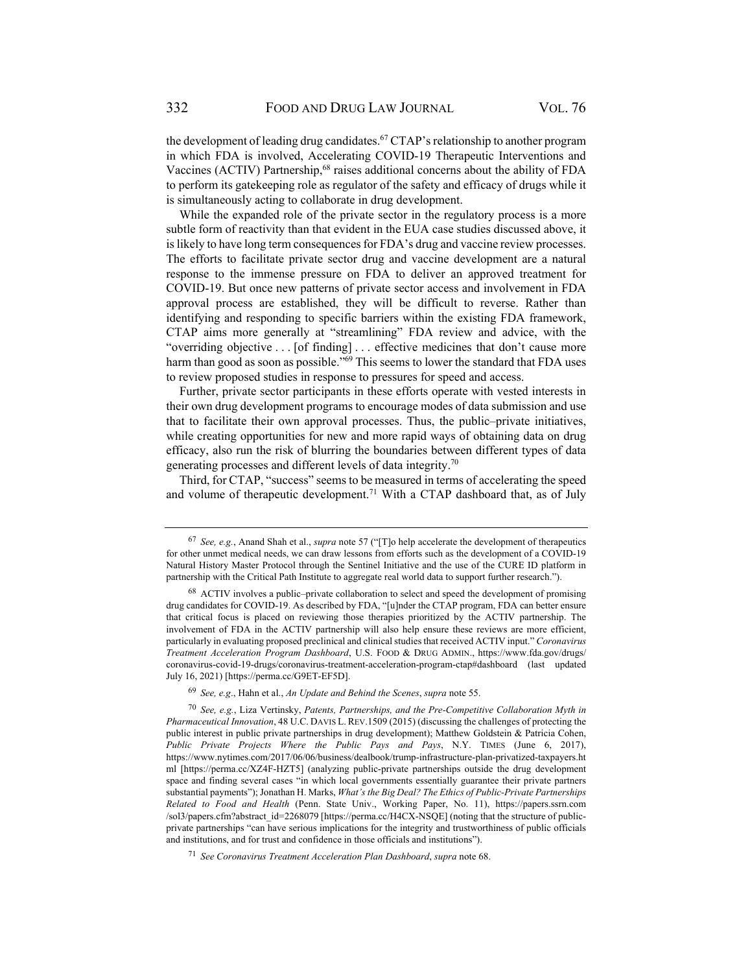the development of leading drug candidates.<sup>67</sup> CTAP's relationship to another program in which FDA is involved, Accelerating COVID-19 Therapeutic Interventions and Vaccines (ACTIV) Partnership,<sup>68</sup> raises additional concerns about the ability of FDA to perform its gatekeeping role as regulator of the safety and efficacy of drugs while it is simultaneously acting to collaborate in drug development.

While the expanded role of the private sector in the regulatory process is a more subtle form of reactivity than that evident in the EUA case studies discussed above, it is likely to have long term consequences for FDA's drug and vaccine review processes. The efforts to facilitate private sector drug and vaccine development are a natural response to the immense pressure on FDA to deliver an approved treatment for COVID-19. But once new patterns of private sector access and involvement in FDA approval process are established, they will be difficult to reverse. Rather than identifying and responding to specific barriers within the existing FDA framework, CTAP aims more generally at "streamlining" FDA review and advice, with the "overriding objective . . . [of finding] . . . effective medicines that don't cause more harm than good as soon as possible."<sup>69</sup> This seems to lower the standard that FDA uses to review proposed studies in response to pressures for speed and access.

Further, private sector participants in these efforts operate with vested interests in their own drug development programs to encourage modes of data submission and use that to facilitate their own approval processes. Thus, the public–private initiatives, while creating opportunities for new and more rapid ways of obtaining data on drug efficacy, also run the risk of blurring the boundaries between different types of data generating processes and different levels of data integrity.70

Third, for CTAP, "success" seems to be measured in terms of accelerating the speed and volume of therapeutic development.<sup>71</sup> With a CTAP dashboard that, as of July

<sup>67</sup> *See, e.g.*, Anand Shah et al., *supra* note 57 ("[T]o help accelerate the development of therapeutics for other unmet medical needs, we can draw lessons from efforts such as the development of a COVID-19 Natural History Master Protocol through the Sentinel Initiative and the use of the CURE ID platform in partnership with the Critical Path Institute to aggregate real world data to support further research.").

<sup>68</sup> ACTIV involves a public–private collaboration to select and speed the development of promising drug candidates for COVID-19. As described by FDA, "[u]nder the CTAP program, FDA can better ensure that critical focus is placed on reviewing those therapies prioritized by the ACTIV partnership. The involvement of FDA in the ACTIV partnership will also help ensure these reviews are more efficient, particularly in evaluating proposed preclinical and clinical studies that received ACTIV input." *Coronavirus Treatment Acceleration Program Dashboard*, U.S. FOOD & DRUG ADMIN., https://www.fda.gov/drugs/ coronavirus-covid-19-drugs/coronavirus-treatment-acceleration-program-ctap#dashboard (last updated July 16, 2021) [https://perma.cc/G9ET-EF5D].

<sup>69</sup> *See, e.g*., Hahn et al., *An Update and Behind the Scenes*, *supra* note 55.

<sup>70</sup> *See, e.g.*, Liza Vertinsky, *Patents, Partnerships, and the Pre-Competitive Collaboration Myth in Pharmaceutical Innovation*, 48 U.C. DAVIS L. REV.1509 (2015) (discussing the challenges of protecting the public interest in public private partnerships in drug development); Matthew Goldstein & Patricia Cohen, *Public Private Projects Where the Public Pays and Pays*, N.Y. TIMES (June 6, 2017), https://www.nytimes.com/2017/06/06/business/dealbook/trump-infrastructure-plan-privatized-taxpayers.ht ml [https://perma.cc/XZ4F-HZT5] (analyzing public-private partnerships outside the drug development space and finding several cases "in which local governments essentially guarantee their private partners substantial payments"); Jonathan H. Marks, *What's the Big Deal? The Ethics of Public-Private Partnerships Related to Food and Health* (Penn. State Univ., Working Paper, No. 11), https://papers.ssrn.com /sol3/papers.cfm?abstract\_id=2268079 [https://perma.cc/H4CX-NSQE] (noting that the structure of publicprivate partnerships "can have serious implications for the integrity and trustworthiness of public officials and institutions, and for trust and confidence in those officials and institutions").

<sup>71</sup> *See Coronavirus Treatment Acceleration Plan Dashboard*, *supra* note 68.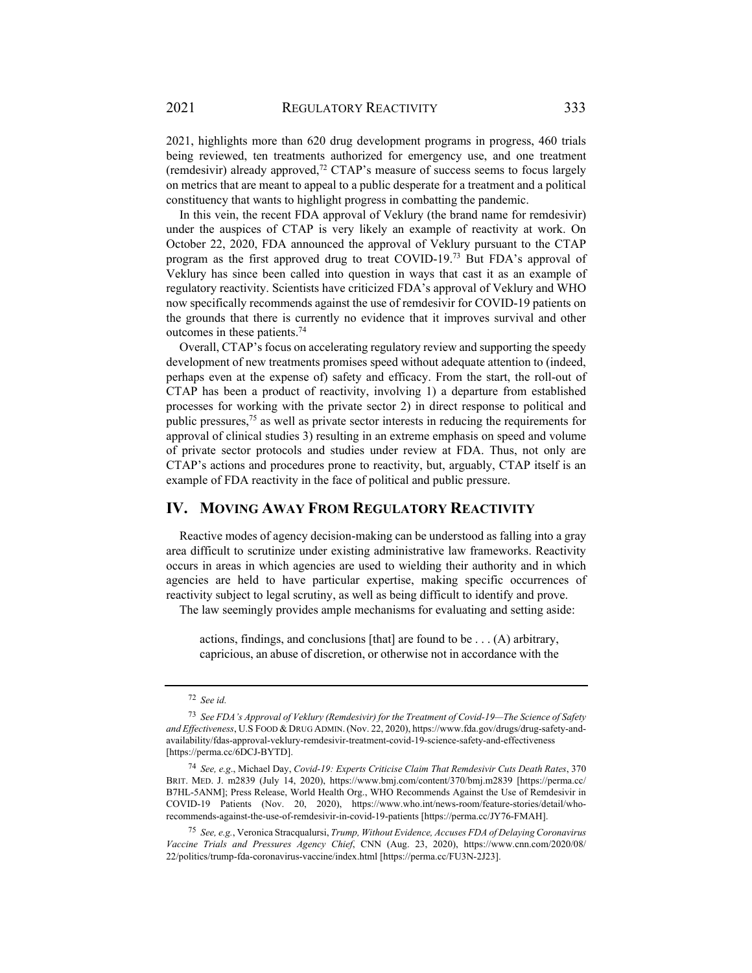2021, highlights more than 620 drug development programs in progress, 460 trials being reviewed, ten treatments authorized for emergency use, and one treatment (remdesivir) already approved,<sup>72</sup> CTAP's measure of success seems to focus largely on metrics that are meant to appeal to a public desperate for a treatment and a political constituency that wants to highlight progress in combatting the pandemic.

In this vein, the recent FDA approval of Veklury (the brand name for remdesivir) under the auspices of CTAP is very likely an example of reactivity at work. On October 22, 2020, FDA announced the approval of Veklury pursuant to the CTAP program as the first approved drug to treat COVID-19.73 But FDA's approval of Veklury has since been called into question in ways that cast it as an example of regulatory reactivity. Scientists have criticized FDA's approval of Veklury and WHO now specifically recommends against the use of remdesivir for COVID-19 patients on the grounds that there is currently no evidence that it improves survival and other outcomes in these patients.74

Overall, CTAP's focus on accelerating regulatory review and supporting the speedy development of new treatments promises speed without adequate attention to (indeed, perhaps even at the expense of) safety and efficacy. From the start, the roll-out of CTAP has been a product of reactivity, involving 1) a departure from established processes for working with the private sector 2) in direct response to political and public pressures,75 as well as private sector interests in reducing the requirements for approval of clinical studies 3) resulting in an extreme emphasis on speed and volume of private sector protocols and studies under review at FDA. Thus, not only are CTAP's actions and procedures prone to reactivity, but, arguably, CTAP itself is an example of FDA reactivity in the face of political and public pressure.

#### **IV. MOVING AWAY FROM REGULATORY REACTIVITY**

Reactive modes of agency decision-making can be understood as falling into a gray area difficult to scrutinize under existing administrative law frameworks. Reactivity occurs in areas in which agencies are used to wielding their authority and in which agencies are held to have particular expertise, making specific occurrences of reactivity subject to legal scrutiny, as well as being difficult to identify and prove. The law seemingly provides ample mechanisms for evaluating and setting aside:

actions, findings, and conclusions [that] are found to be . . . (A) arbitrary,

capricious, an abuse of discretion, or otherwise not in accordance with the

<sup>72</sup> *See id.*

<sup>73</sup> *See FDA's Approval of Veklury (Remdesivir) for the Treatment of Covid-19—The Science of Safety and Effectiveness*, U.S FOOD & DRUG ADMIN.(Nov. 22, 2020), https://www.fda.gov/drugs/drug-safety-andavailability/fdas-approval-veklury-remdesivir-treatment-covid-19-science-safety-and-effectiveness [https://perma.cc/6DCJ-BYTD].

<sup>74</sup> *See, e.g*., Michael Day, *Covid-19: Experts Criticise Claim That Remdesivir Cuts Death Rates*, 370 BRIT. MED. J. m2839 (July 14, 2020), https://www.bmj.com/content/370/bmj.m2839 [https://perma.cc/ B7HL-5ANM]; Press Release, World Health Org., WHO Recommends Against the Use of Remdesivir in COVID-19 Patients (Nov. 20, 2020), https://www.who.int/news-room/feature-stories/detail/whorecommends-against-the-use-of-remdesivir-in-covid-19-patients [https://perma.cc/JY76-FMAH].

<sup>75</sup> *See, e.g.*, Veronica Stracqualursi, *Trump, Without Evidence, Accuses FDA of Delaying Coronavirus Vaccine Trials and Pressures Agency Chief*, CNN (Aug. 23, 2020), https://www.cnn.com/2020/08/ 22/politics/trump-fda-coronavirus-vaccine/index.html [https://perma.cc/FU3N-2J23].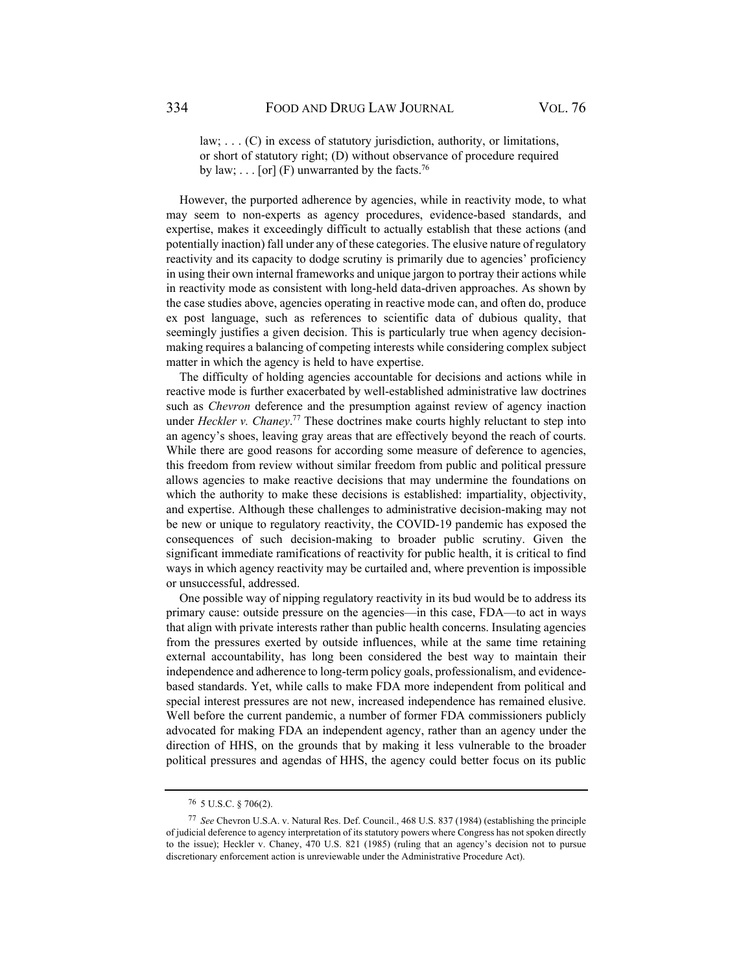law; . . . (C) in excess of statutory jurisdiction, authority, or limitations, or short of statutory right; (D) without observance of procedure required by law;  $\ldots$  [or] (F) unwarranted by the facts.<sup>76</sup>

However, the purported adherence by agencies, while in reactivity mode, to what may seem to non-experts as agency procedures, evidence-based standards, and expertise, makes it exceedingly difficult to actually establish that these actions (and potentially inaction) fall under any of these categories. The elusive nature of regulatory reactivity and its capacity to dodge scrutiny is primarily due to agencies' proficiency in using their own internal frameworks and unique jargon to portray their actions while in reactivity mode as consistent with long-held data-driven approaches. As shown by the case studies above, agencies operating in reactive mode can, and often do, produce ex post language, such as references to scientific data of dubious quality, that seemingly justifies a given decision. This is particularly true when agency decisionmaking requires a balancing of competing interests while considering complex subject matter in which the agency is held to have expertise.

The difficulty of holding agencies accountable for decisions and actions while in reactive mode is further exacerbated by well-established administrative law doctrines such as *Chevron* deference and the presumption against review of agency inaction under *Heckler v. Chaney*. 77 These doctrines make courts highly reluctant to step into an agency's shoes, leaving gray areas that are effectively beyond the reach of courts. While there are good reasons for according some measure of deference to agencies, this freedom from review without similar freedom from public and political pressure allows agencies to make reactive decisions that may undermine the foundations on which the authority to make these decisions is established: impartiality, objectivity, and expertise. Although these challenges to administrative decision-making may not be new or unique to regulatory reactivity, the COVID-19 pandemic has exposed the consequences of such decision-making to broader public scrutiny. Given the significant immediate ramifications of reactivity for public health, it is critical to find ways in which agency reactivity may be curtailed and, where prevention is impossible or unsuccessful, addressed.

One possible way of nipping regulatory reactivity in its bud would be to address its primary cause: outside pressure on the agencies—in this case, FDA—to act in ways that align with private interests rather than public health concerns. Insulating agencies from the pressures exerted by outside influences, while at the same time retaining external accountability, has long been considered the best way to maintain their independence and adherence to long-term policy goals, professionalism, and evidencebased standards. Yet, while calls to make FDA more independent from political and special interest pressures are not new, increased independence has remained elusive. Well before the current pandemic, a number of former FDA commissioners publicly advocated for making FDA an independent agency, rather than an agency under the direction of HHS, on the grounds that by making it less vulnerable to the broader political pressures and agendas of HHS, the agency could better focus on its public

<sup>76 5</sup> U.S.C. § 706(2).

<sup>77</sup> *See* Chevron U.S.A. v. Natural Res. Def. Council., 468 U.S. 837 (1984) (establishing the principle of judicial deference to agency interpretation of its statutory powers where Congress has not spoken directly to the issue); Heckler v. Chaney, 470 U.S. 821 (1985) (ruling that an agency's decision not to pursue discretionary enforcement action is unreviewable under the Administrative Procedure Act).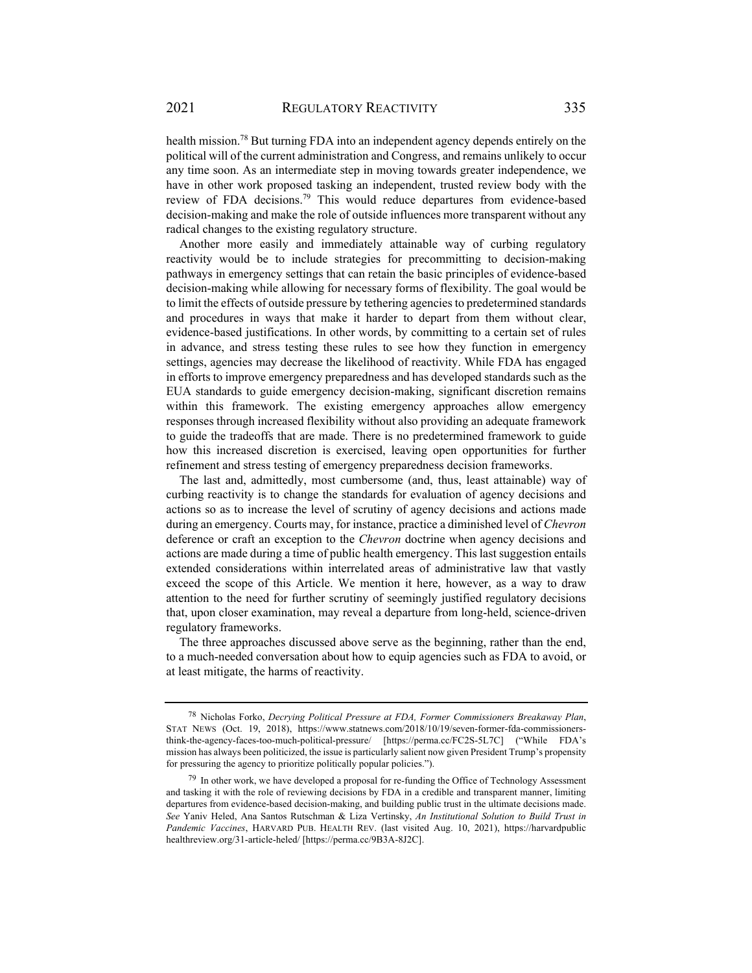health mission.78 But turning FDA into an independent agency depends entirely on the political will of the current administration and Congress, and remains unlikely to occur any time soon. As an intermediate step in moving towards greater independence, we have in other work proposed tasking an independent, trusted review body with the review of FDA decisions.79 This would reduce departures from evidence-based decision-making and make the role of outside influences more transparent without any radical changes to the existing regulatory structure.

Another more easily and immediately attainable way of curbing regulatory reactivity would be to include strategies for precommitting to decision-making pathways in emergency settings that can retain the basic principles of evidence-based decision-making while allowing for necessary forms of flexibility. The goal would be to limit the effects of outside pressure by tethering agencies to predetermined standards and procedures in ways that make it harder to depart from them without clear, evidence-based justifications. In other words, by committing to a certain set of rules in advance, and stress testing these rules to see how they function in emergency settings, agencies may decrease the likelihood of reactivity. While FDA has engaged in efforts to improve emergency preparedness and has developed standards such as the EUA standards to guide emergency decision-making, significant discretion remains within this framework. The existing emergency approaches allow emergency responses through increased flexibility without also providing an adequate framework to guide the tradeoffs that are made. There is no predetermined framework to guide how this increased discretion is exercised, leaving open opportunities for further refinement and stress testing of emergency preparedness decision frameworks.

The last and, admittedly, most cumbersome (and, thus, least attainable) way of curbing reactivity is to change the standards for evaluation of agency decisions and actions so as to increase the level of scrutiny of agency decisions and actions made during an emergency. Courts may, for instance, practice a diminished level of *Chevron*  deference or craft an exception to the *Chevron* doctrine when agency decisions and actions are made during a time of public health emergency. This last suggestion entails extended considerations within interrelated areas of administrative law that vastly exceed the scope of this Article. We mention it here, however, as a way to draw attention to the need for further scrutiny of seemingly justified regulatory decisions that, upon closer examination, may reveal a departure from long-held, science-driven regulatory frameworks.

The three approaches discussed above serve as the beginning, rather than the end, to a much-needed conversation about how to equip agencies such as FDA to avoid, or at least mitigate, the harms of reactivity.

<sup>78</sup> Nicholas Forko, *Decrying Political Pressure at FDA, Former Commissioners Breakaway Plan*, STAT NEWS (Oct. 19, 2018), https://www.statnews.com/2018/10/19/seven-former-fda-commissionersthink-the-agency-faces-too-much-political-pressure/ [https://perma.cc/FC2S-5L7C] ("While FDA's mission has always been politicized, the issue is particularly salient now given President Trump's propensity for pressuring the agency to prioritize politically popular policies.").

<sup>&</sup>lt;sup>79</sup> In other work, we have developed a proposal for re-funding the Office of Technology Assessment and tasking it with the role of reviewing decisions by FDA in a credible and transparent manner, limiting departures from evidence-based decision-making, and building public trust in the ultimate decisions made. *See* Yaniv Heled, Ana Santos Rutschman & Liza Vertinsky, *An Institutional Solution to Build Trust in Pandemic Vaccines*, HARVARD PUB. HEALTH REV. (last visited Aug. 10, 2021), https://harvardpublic healthreview.org/31-article-heled/ [https://perma.cc/9B3A-8J2C].